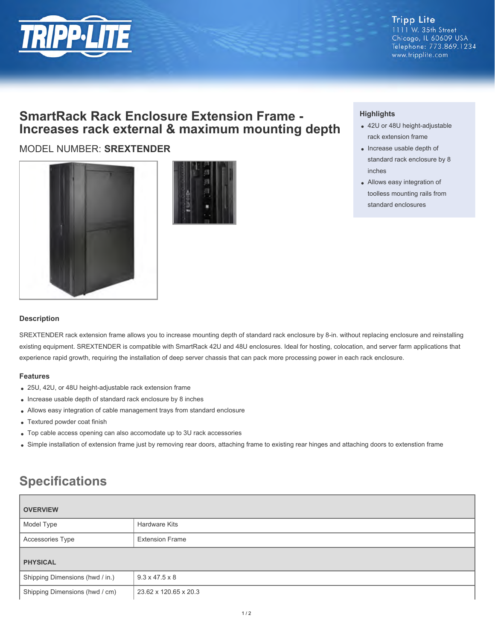

# **SmartRack Rack Enclosure Extension Frame - Increases rack external & maximum mounting depth**

## MODEL NUMBER: **SREXTENDER**





### **Highlights**

- 42U or 48U height-adjustable rack extension frame
- Increase usable depth of standard rack enclosure by 8 inches
- Allows easy integration of toolless mounting rails from standard enclosures

#### **Description**

SREXTENDER rack extension frame allows you to increase mounting depth of standard rack enclosure by 8-in. without replacing enclosure and reinstalling existing equipment. SREXTENDER is compatible with SmartRack 42U and 48U enclosures. Ideal for hosting, colocation, and server farm applications that experience rapid growth, requiring the installation of deep server chassis that can pack more processing power in each rack enclosure.

#### **Features**

- 25U, 42U, or 48U height-adjustable rack extension frame
- Increase usable depth of standard rack enclosure by 8 inches
- Allows easy integration of cable management trays from standard enclosure
- Textured powder coat finish
- Top cable access opening can also accomodate up to 3U rack accessories
- Simple installation of extension frame just by removing rear doors, attaching frame to existing rear hinges and attaching doors to extenstion frame

# **Specifications**

| <b>OVERVIEW</b>                 |                            |
|---------------------------------|----------------------------|
| Model Type                      | <b>Hardware Kits</b>       |
| Accessories Type                | <b>Extension Frame</b>     |
| <b>PHYSICAL</b>                 |                            |
| Shipping Dimensions (hwd / in.) | $9.3 \times 47.5 \times 8$ |
| Shipping Dimensions (hwd / cm)  | 23.62 x 120.65 x 20.3      |